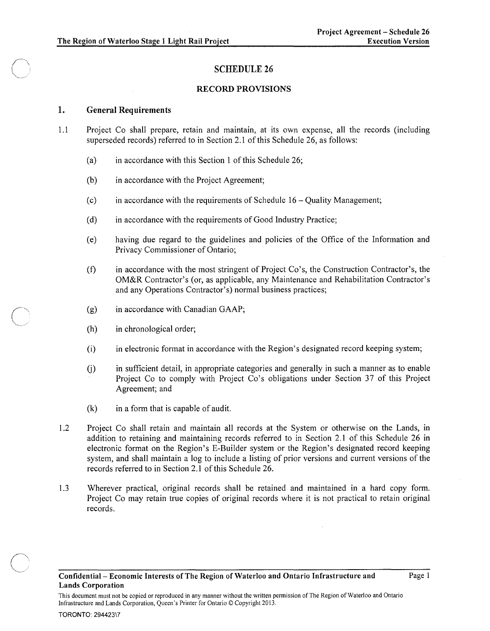## SCHEDULE 26

## RECORD PROVISIONS

## 1. General Requirements

- 1.1 Project Co shall prepare, retain and maintain, at its own expense, all the records (including superseded records) referred to in Section 2.1 of this Schedule 26, as follows:
	- (a) in accordance with this Section 1 of this Schedule 26;
	- (b) in accordance with the Project Agreement;
	- (c) in accordance with the requirements of Schedule  $16 -$  Quality Management;
	- (d) in accordance with the requirements of Good Industry Practice;
	- (e) having due regard to the guidelines and policies of the Office of the Information and Privacy Commissioner of Ontario;
	- (f) in accordance with the most stringent of Project Co's, the Construction Contractor's, the OM&R Contractor's (or, as applicable, any Maintenance and Rehabilitation Contractor's and any Operations Contractor's) normal business practices;
	- (g) in accordance with Canadian GAAP;
	- (h) in chronological order;

(~' .... ,,\_ .. /'

- (i) in electronic format in accordance with the Region's designated record keeping system;
- U) in sufficient detail, in appropriate categories and generally in such a manner as to enable Project Co to comply with Project Co's obligations under Section 37 of this Project Agreement; and
- $(k)$  in a form that is capable of audit.
- 1.2 Project Co shall retain and maintain all records at the System or otherwise on the Lands, in addition to retaining and maintaining records referred to in Section 2.1 of this Schedule 26 in electronic format on the Region's E-Builder system or the Region's designated record keeping system, and shall maintain a log to include a listing of prior versions and current versions of the records referred to in Section 2.1 of this Schedule 26.
- 1.3 Wherever practical, original records shall be retained and maintained in a hard copy form. Project Co may retain true copies of original records where it is not practical to retain original records.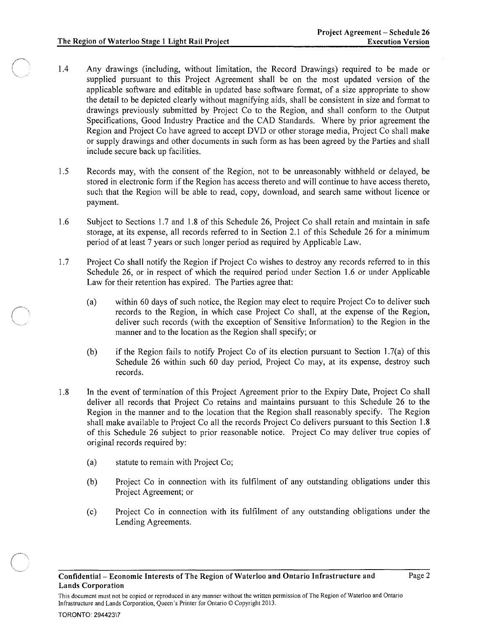- 1.4 Any drawings (including, without limitation, the Record Drawings) required to be made or supplied pursuant to this Project Agreement shall be on the most updated version of the applicable software and editable in updated base software format, of a size appropriate to show the detail to be depicted clearly without magnifying aids, shall be consistent in size and format to drawings previously submitted by Project Co to the Region, and shall conform to the Output Specifications, Good Industry Practice and the CAD Standards. Where by prior agreement the Region and Project Co have agreed to accept DVD or other storage media, Project Co shall make or supply drawings and other documents in such form as has been agreed by the Parties and shall include secure back up facilities.
- 1.5 Records may, with the consent of the Region, not to be unreasonably withheld or delayed, be stored in electronic form if the Region has access thereto and will continue to have access thereto, such that the Region will be able to read, copy, download, and search same without licence or payment.
- 1.6 Subject to Sections 1.7 and 1.8 of this Schedule 26, Project Co shall retain and maintain in safe storage, at its expense, all records referred to in Section 2.1 of this Schedule 26 for a minimum period of at least 7 years or such longer period as required by Applicable Law.
- 1.7 Project Co shall notify the Region if Project Co wishes to destroy any records referred to in this Schedule 26, or in respect of which the required period under Section 1.6 or under Applicable Law for their retention has expired. The Parties agree that:
	- (a) within 60 days of such notice, the Region may elect to require Project Co to deliver such records to the Region, in which case Project Co shall, at the expense of the Region, deliver such records (with the exception of Sensitive Information) to the Region in the manner and to the location as the Region shall specify; or
	- (b) if the Region fails to notify Project Co of its election pursuant to Section 1.7(a) of this Schedule 26 within such 60 day period, Project Co may, at its expense, destroy such records.
- 1.8 In the event of termination of this Project Agreement prior to the Expiry Date, Project Co shall deliver all records that Project Co retains and maintains pursuant to this Schedule 26 to the Region in the manner and to the location that the Region shall reasonably specify. The Region shall make available to Project Co all the records Project Co delivers pursuant to this Section 1.8 of this Schedule 26 subject to prior reasonable notice. Project Co may deliver true copies of original records required by:
	- (a) statute to remain with Project Co;

Infrastructure and Lands Corporation, Queen's Printer for Ontario © Copyright 2013.

- (b) Project Co in connection with its fulfilment of any outstanding obligations under this Project Agreement; or
- (c) Project Co in connection with its fulfilment of any outstanding obligations under the Lending Agreements.

This document must not be copied or reproduced in any manner without the written permission of The Region of Waterloo and Ontario

 $\sqrt{2}$  $\overline{\phantom{a}}$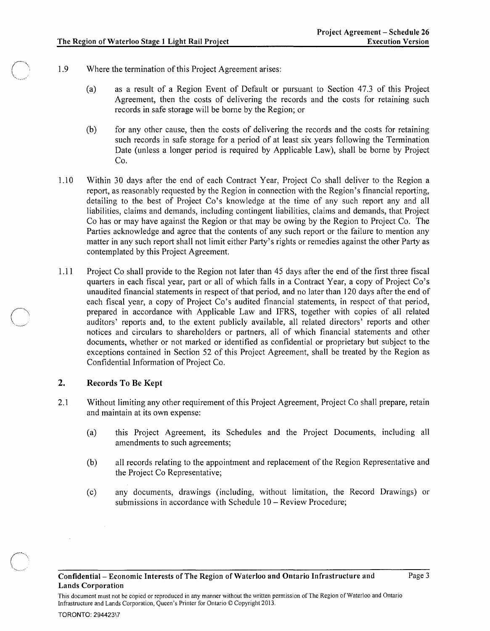- 1.9 Where the termination of this Project Agreement arises:
	- (a) as a result of a Region Event of Default or pursuant to Section 47.3 of this Project Agreement, then the costs of delivering the records and the costs for retaining such records in safe storage will be borne by the Region; or
	- (b) for any other cause, then the costs of delivering the records and the costs for retaining such records in safe storage for a period of at least six years following the Termination Date (unless a longer period is required by Applicable Law), shall be borne by Project Co.
- 1.10 Within 30 days after the end of each Contract Year, Project Co shall deliver to the Region a report, as reasonably requested by the Region in connection with the Region's financial reporting, detailing to the best of Project Co's knowledge at the time of any such report any and all liabilities, claims and demands, including contingent liabilities, claims and demands, that Project Co has or may have against the Region or that may be owing by the Region to Project Co. The Parties acknowledge and agree that the contents of any such report or the failure to mention any matter in any such report shall not limit either Party's rights or remedies against the other Party as contemplated by this Project Agreement.
- 1.11 Project Co shall provide to the Region not later than 45 days after the end of the first three fiscal quarters in each fiscal year, part or all of which falls in a Contract Year, a copy of Project Co's unaudited financial statements in respect of that period, and no later than 120 days after the end of each fiscal year, a copy of Project Co's audited financial statements, in respect of that period, prepared in accordance with Applicable Law and IFRS, together with copies of all related auditors' reports and, to the extent publicly available, all related directors' reports and other notices and circulars to shareholders or partners, all of which financial statements and other documents, whether or not marked or identified as confidential or proprietary but subject to the exceptions contained in Section 52 of this Project Agreement, shall be treated by the Region as Confidential Information of Project Co.

## 2. Records To Be Kept

TORONTO: 294423\7

- 2.1 Without limiting any other requirement of this Project Agreement, Project Co shall prepare, retain and maintain at its own expense:
	- (a) this Project Agreement, its Schedules and the Project Documents, including all amendments to such agreements;
	- (b) all records relating to the appointment and replacement of the Region Representative and the Project Co Representative;
	- (c) any documents, drawings (including, without limitation, the Record Drawings) or submissions in accordance with Schedule 10 - Review Procedure;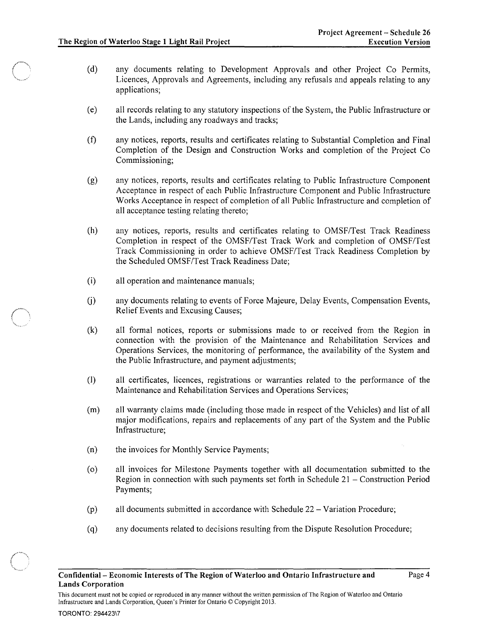- (d) any documents relating to Development Approvals and other Project Co Permits, Licences, Approvals and Agreements, including any refusals and appeals relating to any applications;
- ( e) all records relating to any statutory inspections of the System, the Public Infrastructure or the Lands, including any roadways and tracks;
- (f) any notices, reports, results and certificates relating to Substantial Completion and Final Completion of the Design and Construction Works and completion of the Project Co Commissioning;
- (g) any notices, reports, results and certificates relating to Public Infrastructure Component Acceptance in respect of each Public Infrastructure Component and Public Infrastructure Works Acceptance in respect of completion of all Public Infrastructure and completion of all acceptance testing relating thereto;
- (h) any notices, reports, results and certificates relating to *OMSFITest* Track Readiness Completion in respect of the *OMSFITest* Track Work and completion of *OMSFITest*  Track Commissioning in order to achieve *OMSFITest* Track Readiness Completion by the Scheduled *OMSFITest* Track Readiness Date;
- (i) all operation and maintenance manuals;
- U) any documents relating to events of Force Majeure, Delay Events, Compensation Events, Relief Events and Excusing Causes;
- (k) all formal notices, reports or submissions made to or received from the Region in connection with the provision of the Maintenance and Rehabilitation Services and Operations Services, the monitoring of performance, the availability of the System and the Public Infrastructure, and payment adjustments;
- (1) all certificates, licences, registrations or warranties related to the performance of the Maintenance and Rehabilitation Services and Operations Services;
- (m) all warranty claims made (including those made in respect of the Vehicles) and list of all major modifications, repairs and replacements of any part of the System and the Public Infrastructure;
- (n) the invoices for Monthly Service Payments;
- (0) all invoices for Milestone Payments together with all documentation submitted to the Region in connection with such payments set forth in Schedule 21 - Construction Period Payments;
- (p) all documents submitted in accordance with Schedule  $22 \text{Variation Procedure}$ ;
- (q) any documents related to decisions resulting from the Dispute Resolution Procedure;

 $\bigcap$ ~, ..